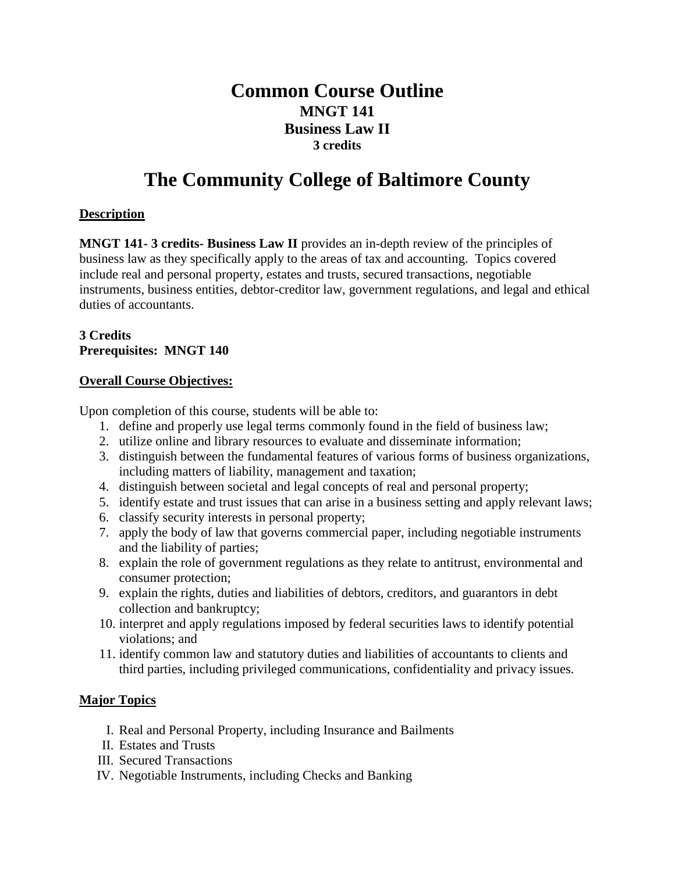# **Common Course Outline MNGT 141 Business Law II 3 credits**

# **The Community College of Baltimore County**

# **Description**

**MNGT 141- 3 credits- Business Law II** provides an in-depth review of the principles of business law as they specifically apply to the areas of tax and accounting. Topics covered include real and personal property, estates and trusts, secured transactions, negotiable instruments, business entities, debtor-creditor law, government regulations, and legal and ethical duties of accountants.

#### **3 Credits Prerequisites: MNGT 140**

# **Overall Course Objectives:**

Upon completion of this course, students will be able to:

- 1. define and properly use legal terms commonly found in the field of business law;
- 2. utilize online and library resources to evaluate and disseminate information;
- 3. distinguish between the fundamental features of various forms of business organizations, including matters of liability, management and taxation;
- 4. distinguish between societal and legal concepts of real and personal property;
- 5. identify estate and trust issues that can arise in a business setting and apply relevant laws;
- 6. classify security interests in personal property;
- 7. apply the body of law that governs commercial paper, including negotiable instruments and the liability of parties;
- 8. explain the role of government regulations as they relate to antitrust, environmental and consumer protection;
- 9. explain the rights, duties and liabilities of debtors, creditors, and guarantors in debt collection and bankruptcy;
- 10. interpret and apply regulations imposed by federal securities laws to identify potential violations; and
- 11. identify common law and statutory duties and liabilities of accountants to clients and third parties, including privileged communications, confidentiality and privacy issues.

# **Major Topics**

- I. Real and Personal Property, including Insurance and Bailments
- II. Estates and Trusts
- III. Secured Transactions
- IV. Negotiable Instruments, including Checks and Banking